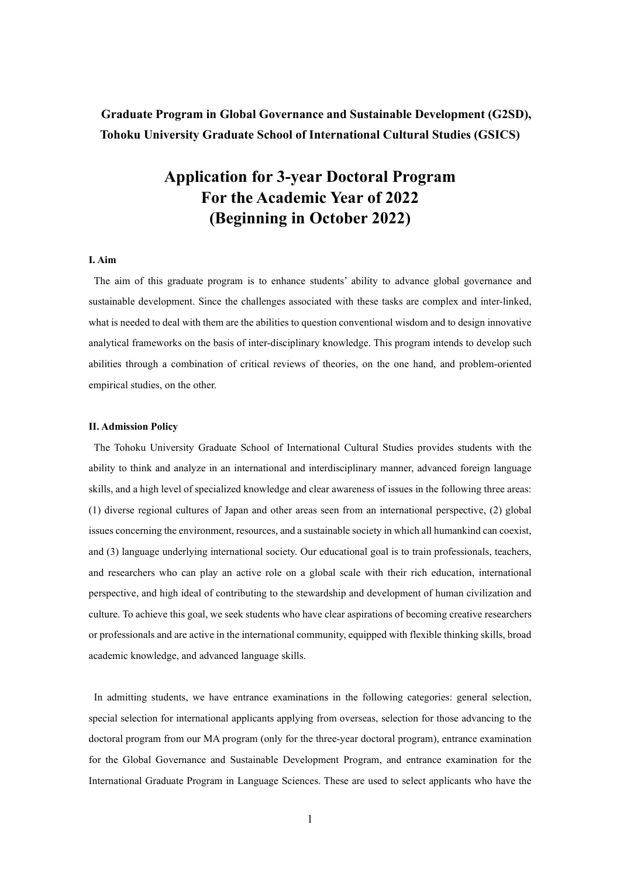# **Graduate Program in Global Governance and Sustainable Development (G2SD), Tohoku University Graduate School of International Cultural Studies (GSICS)**

# **Application for 3-year Doctoral Program For the Academic Year of 2022 (Beginning in October 2022)**

#### **I. Aim**

The aim of this graduate program is to enhance students' ability to advance global governance and sustainable development. Since the challenges associated with these tasks are complex and inter-linked, what is needed to deal with them are the abilities to question conventional wisdom and to design innovative analytical frameworks on the basis of inter-disciplinary knowledge. This program intends to develop such abilities through a combination of critical reviews of theories, on the one hand, and problem-oriented empirical studies, on the other.

# **II. Admission Policy**

The Tohoku University Graduate School of International Cultural Studies provides students with the ability to think and analyze in an international and interdisciplinary manner, advanced foreign language skills, and a high level of specialized knowledge and clear awareness of issues in the following three areas: (1) diverse regional cultures of Japan and other areas seen from an international perspective, (2) global issues concerning the environment, resources, and a sustainable society in which all humankind can coexist, and (3) language underlying international society. Our educational goal is to train professionals, teachers, and researchers who can play an active role on a global scale with their rich education, international perspective, and high ideal of contributing to the stewardship and development of human civilization and culture. To achieve this goal, we seek students who have clear aspirations of becoming creative researchers or professionals and are active in the international community, equipped with flexible thinking skills, broad academic knowledge, and advanced language skills.

In admitting students, we have entrance examinations in the following categories: general selection, special selection for international applicants applying from overseas, selection for those advancing to the doctoral program from our MA program (only for the three-year doctoral program), entrance examination for the Global Governance and Sustainable Development Program, and entrance examination for the International Graduate Program in Language Sciences. These are used to select applicants who have the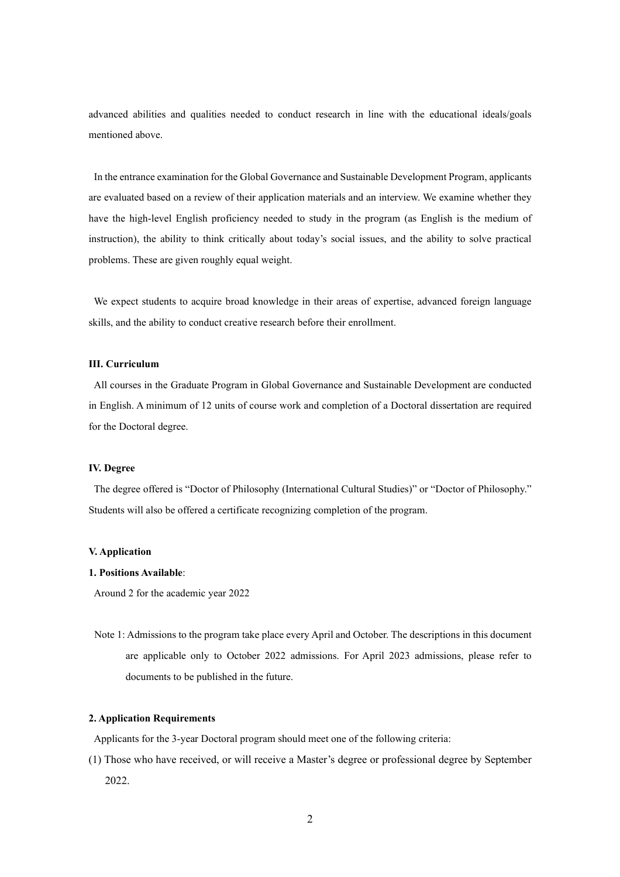advanced abilities and qualities needed to conduct research in line with the educational ideals/goals mentioned above.

In the entrance examination for the Global Governance and Sustainable Development Program, applicants are evaluated based on a review of their application materials and an interview. We examine whether they have the high-level English proficiency needed to study in the program (as English is the medium of instruction), the ability to think critically about today's social issues, and the ability to solve practical problems. These are given roughly equal weight.

We expect students to acquire broad knowledge in their areas of expertise, advanced foreign language skills, and the ability to conduct creative research before their enrollment.

# **III. Curriculum**

All courses in the Graduate Program in Global Governance and Sustainable Development are conducted in English. A minimum of 12 units of course work and completion of a Doctoral dissertation are required for the Doctoral degree.

#### **IV. Degree**

The degree offered is "Doctor of Philosophy (International Cultural Studies)" or "Doctor of Philosophy." Students will also be offered a certificate recognizing completion of the program.

#### **V. Application**

#### **1. Positions Available**:

Around 2 for the academic year 2022

Note 1: Admissions to the program take place every April and October. The descriptions in this document are applicable only to October 2022 admissions. For April 2023 admissions, please refer to documents to be published in the future.

### **2. Application Requirements**

Applicants for the 3-year Doctoral program should meet one of the following criteria:

(1) Those who have received, or will receive a Master's degree or professional degree by September 2022.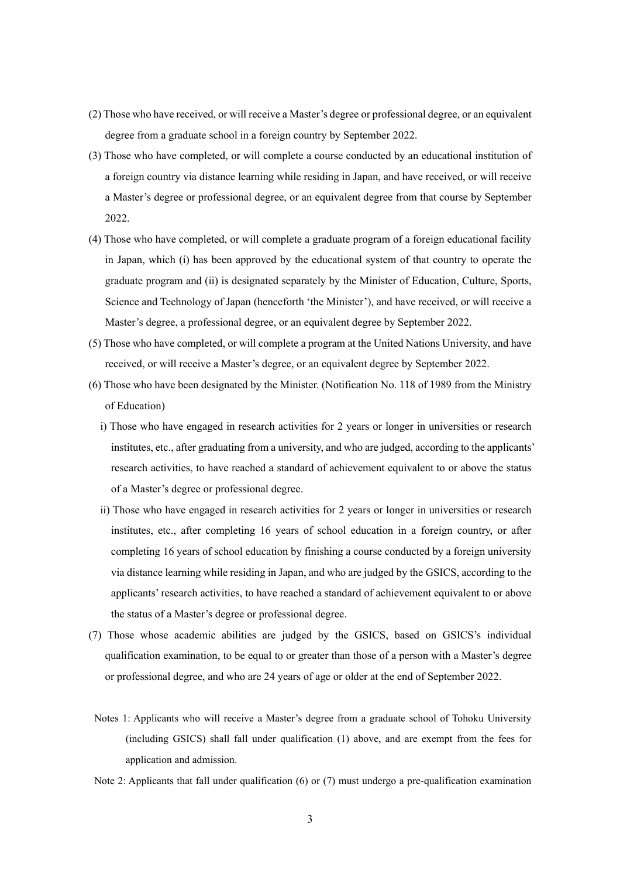- (2) Those who have received, or will receive a Master's degree or professional degree, or an equivalent degree from a graduate school in a foreign country by September 2022.
- (3) Those who have completed, or will complete a course conducted by an educational institution of a foreign country via distance learning while residing in Japan, and have received, or will receive a Master's degree or professional degree, or an equivalent degree from that course by September 2022.
- (4) Those who have completed, or will complete a graduate program of a foreign educational facility in Japan, which (i) has been approved by the educational system of that country to operate the graduate program and (ii) is designated separately by the Minister of Education, Culture, Sports, Science and Technology of Japan (henceforth 'the Minister'), and have received, or will receive a Master's degree, a professional degree, or an equivalent degree by September 2022.
- (5) Those who have completed, or will complete a program at the United Nations University, and have received, or will receive a Master's degree, or an equivalent degree by September 2022.
- (6) Those who have been designated by the Minister. (Notification No. 118 of 1989 from the Ministry of Education)
	- i) Those who have engaged in research activities for 2 years or longer in universities or research institutes, etc., after graduating from a university, and who are judged, according to the applicants' research activities, to have reached a standard of achievement equivalent to or above the status of a Master's degree or professional degree.
	- ii) Those who have engaged in research activities for 2 years or longer in universities or research institutes, etc., after completing 16 years of school education in a foreign country, or after completing 16 years of school education by finishing a course conducted by a foreign university via distance learning while residing in Japan, and who are judged by the GSICS, according to the applicants' research activities, to have reached a standard of achievement equivalent to or above the status of a Master's degree or professional degree.
- (7) Those whose academic abilities are judged by the GSICS, based on GSICS's individual qualification examination, to be equal to or greater than those of a person with a Master's degree or professional degree, and who are 24 years of age or older at the end of September 2022.
- Notes 1: Applicants who will receive a Master's degree from a graduate school of Tohoku University (including GSICS) shall fall under qualification (1) above, and are exempt from the fees for application and admission.
- Note 2: Applicants that fall under qualification (6) or (7) must undergo a pre-qualification examination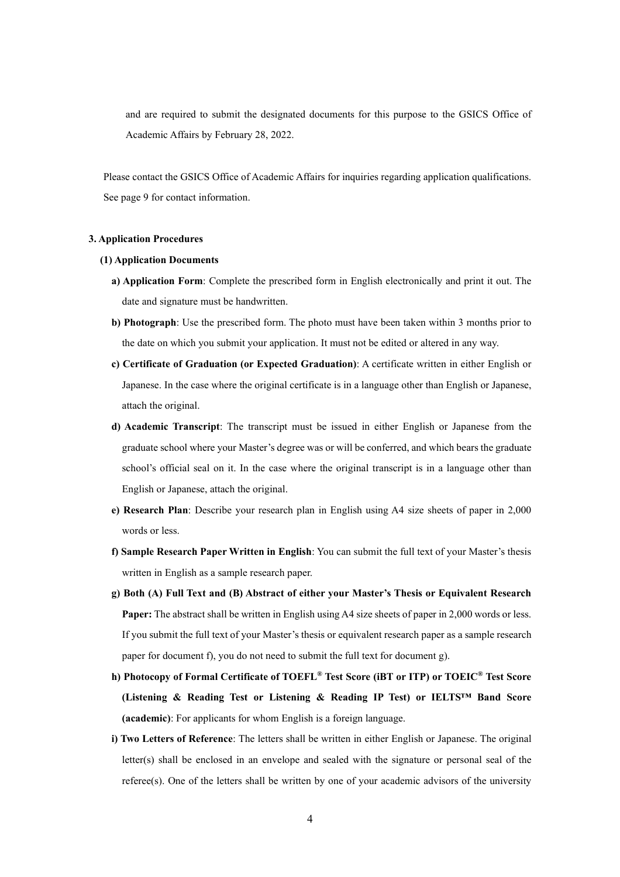and are required to submit the designated documents for this purpose to the GSICS Office of Academic Affairs by February 28, 2022.

Please contact the GSICS Office of Academic Affairs for inquiries regarding application qualifications. See page 9 for contact information.

#### **3. Application Procedures**

#### **(1) Application Documents**

- **a) Application Form**: Complete the prescribed form in English electronically and print it out. The date and signature must be handwritten.
- **b) Photograph**: Use the prescribed form. The photo must have been taken within 3 months prior to the date on which you submit your application. It must not be edited or altered in any way.
- **c) Certificate of Graduation (or Expected Graduation)**: A certificate written in either English or Japanese. In the case where the original certificate is in a language other than English or Japanese, attach the original.
- **d) Academic Transcript**: The transcript must be issued in either English or Japanese from the graduate school where your Master's degree was or will be conferred, and which bears the graduate school's official seal on it. In the case where the original transcript is in a language other than English or Japanese, attach the original.
- **e) Research Plan**: Describe your research plan in English using A4 size sheets of paper in 2,000 words or less.
- **f) Sample Research Paper Written in English**: You can submit the full text of your Master's thesis written in English as a sample research paper.
- **g) Both (A) Full Text and (B) Abstract of either your Master's Thesis or Equivalent Research Paper:** The abstract shall be written in English using A4 size sheets of paper in 2,000 words or less. If you submit the full text of your Master's thesis or equivalent research paper as a sample research paper for document f), you do not need to submit the full text for document g).
- **h) Photocopy of Formal Certificate of TOEFL® Test Score (iBT or ITP) or TOEIC® Test Score (Listening & Reading Test or Listening & Reading IP Test) or IELTS™ Band Score (academic)**: For applicants for whom English is a foreign language.
- **i) Two Letters of Reference**: The letters shall be written in either English or Japanese. The original letter(s) shall be enclosed in an envelope and sealed with the signature or personal seal of the referee(s). One of the letters shall be written by one of your academic advisors of the university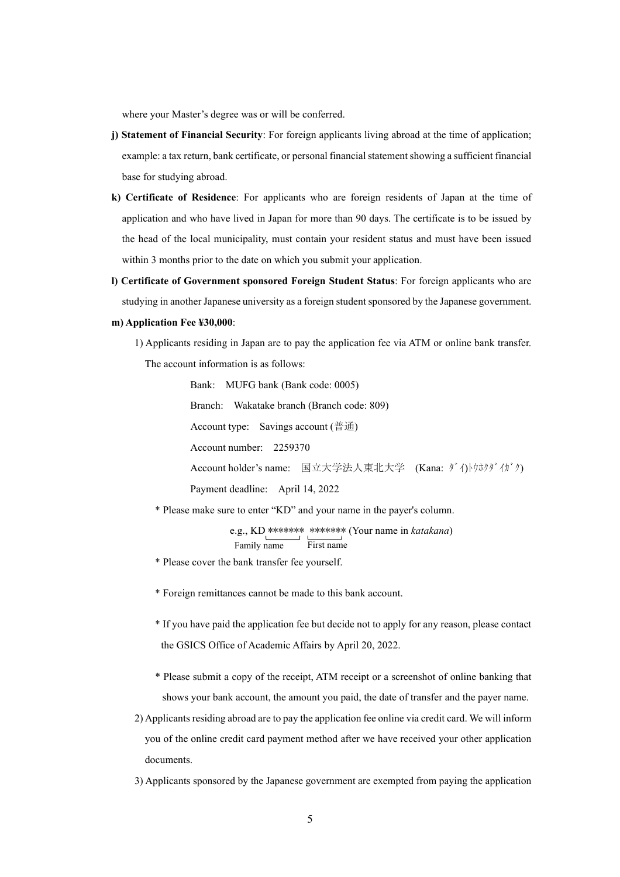where your Master's degree was or will be conferred.

- **j) Statement of Financial Security**: For foreign applicants living abroad at the time of application; example: a tax return, bank certificate, or personal financial statement showing a sufficient financial base for studying abroad.
- **k) Certificate of Residence**: For applicants who are foreign residents of Japan at the time of application and who have lived in Japan for more than 90 days. The certificate is to be issued by the head of the local municipality, must contain your resident status and must have been issued within 3 months prior to the date on which you submit your application.
- **l) Certificate of Government sponsored Foreign Student Status**: For foreign applicants who are studying in another Japanese university as a foreign student sponsored by the Japanese government.

#### **m) Application Fee ¥30,000**:

1) Applicants residing in Japan are to pay the application fee via ATM or online bank transfer. The account information is as follows:

> Bank: MUFG bank (Bank code: 0005) Branch: Wakatake branch (Branch code: 809) Account type: Savings account (普通) Account number: 2259370 Account holder's name: 国立大学法人東北大学 (Kana: ダイ)トウホクダイガウ) Payment deadline: April 14, 2022

\* Please make sure to enter "KD" and your name in the payer's column.

e.g., KD \*\*\*\*\*\*\* \*\*\*\*\*\*\* (Your name in *katakana*) Family name First name

- \* Please cover the bank transfer fee yourself.
- \* Foreign remittances cannot be made to this bank account.
- \* If you have paid the application fee but decide not to apply for any reason, please contact the GSICS Office of Academic Affairs by April 20, 2022.
- \* Please submit a copy of the receipt, ATM receipt or a screenshot of online banking that shows your bank account, the amount you paid, the date of transfer and the payer name.
- 2) Applicants residing abroad are to pay the application fee online via credit card. We will inform you of the online credit card payment method after we have received your other application documents.
- 3) Applicants sponsored by the Japanese government are exempted from paying the application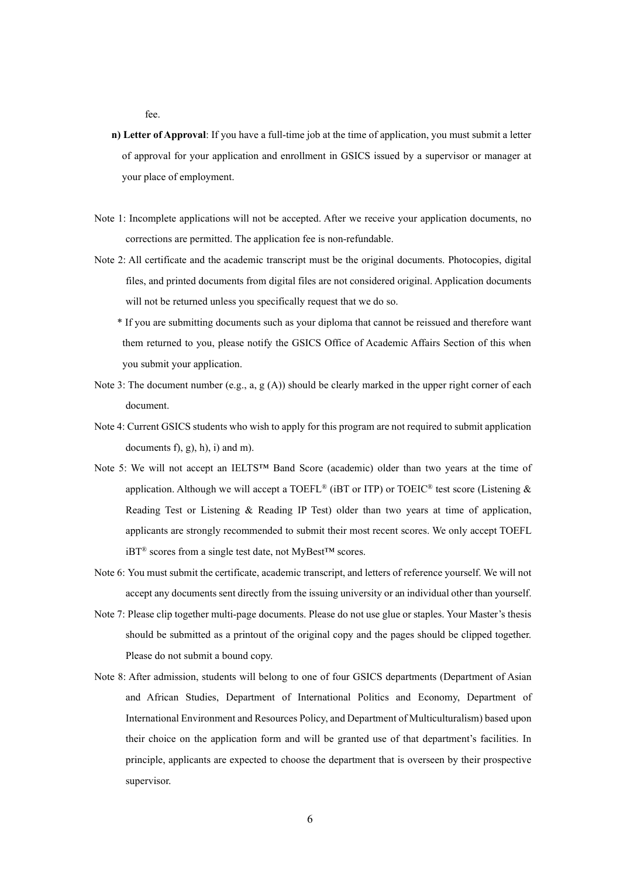fee.

- **n) Letter of Approval**: If you have a full-time job at the time of application, you must submit a letter of approval for your application and enrollment in GSICS issued by a supervisor or manager at your place of employment.
- Note 1: Incomplete applications will not be accepted. After we receive your application documents, no corrections are permitted. The application fee is non-refundable.
- Note 2: All certificate and the academic transcript must be the original documents. Photocopies, digital files, and printed documents from digital files are not considered original. Application documents will not be returned unless you specifically request that we do so.
	- \* If you are submitting documents such as your diploma that cannot be reissued and therefore want them returned to you, please notify the GSICS Office of Academic Affairs Section of this when you submit your application.
- Note 3: The document number (e.g., a,  $g(A)$ ) should be clearly marked in the upper right corner of each document.
- Note 4: Current GSICS students who wish to apply for this program are not required to submit application documents  $f$ ,  $g$ ,  $h$ ,  $i$ ) and m).
- Note 5: We will not accept an IELTS™ Band Score (academic) older than two years at the time of application. Although we will accept a TOEFL® (iBT or ITP) or TOEIC® test score (Listening  $\&$ Reading Test or Listening & Reading IP Test) older than two years at time of application, applicants are strongly recommended to submit their most recent scores. We only accept TOEFL iBT® scores from a single test date, not MyBest™ scores.
- Note 6: You must submit the certificate, academic transcript, and letters of reference yourself. We will not accept any documents sent directly from the issuing university or an individual other than yourself.
- Note 7: Please clip together multi-page documents. Please do not use glue or staples. Your Master's thesis should be submitted as a printout of the original copy and the pages should be clipped together. Please do not submit a bound copy.
- Note 8: After admission, students will belong to one of four GSICS departments (Department of Asian and African Studies, Department of International Politics and Economy, Department of International Environment and Resources Policy, and Department of Multiculturalism) based upon their choice on the application form and will be granted use of that department's facilities. In principle, applicants are expected to choose the department that is overseen by their prospective supervisor.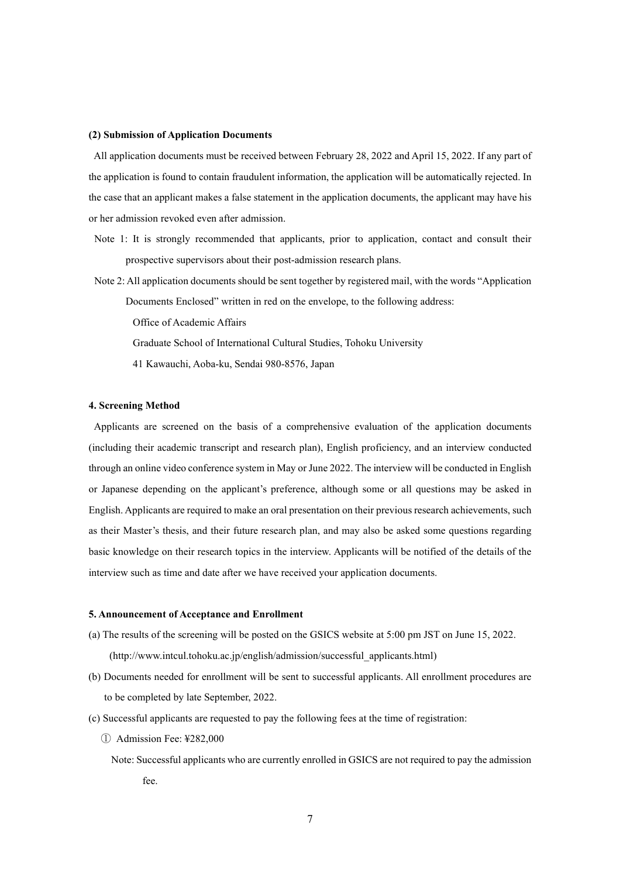#### **(2) Submission of Application Documents**

All application documents must be received between February 28, 2022 and April 15, 2022. If any part of the application is found to contain fraudulent information, the application will be automatically rejected. In the case that an applicant makes a false statement in the application documents, the applicant may have his or her admission revoked even after admission.

- Note 1: It is strongly recommended that applicants, prior to application, contact and consult their prospective supervisors about their post-admission research plans.
- Note 2: All application documents should be sent together by registered mail, with the words "Application
	- Documents Enclosed" written in red on the envelope, to the following address:
		- Office of Academic Affairs
		- Graduate School of International Cultural Studies, Tohoku University
		- 41 Kawauchi, Aoba-ku, Sendai 980-8576, Japan

#### **4. Screening Method**

Applicants are screened on the basis of a comprehensive evaluation of the application documents (including their academic transcript and research plan), English proficiency, and an interview conducted through an online video conference system in May or June 2022. The interview will be conducted in English or Japanese depending on the applicant's preference, although some or all questions may be asked in English. Applicants are required to make an oral presentation on their previous research achievements, such as their Master's thesis, and their future research plan, and may also be asked some questions regarding basic knowledge on their research topics in the interview. Applicants will be notified of the details of the interview such as time and date after we have received your application documents.

# **5. Announcement of Acceptance and Enrollment**

- (a) The results of the screening will be posted on the GSICS website at 5:00 pm JST on June 15, 2022. (http://www.intcul.tohoku.ac.jp/english/admission/successful\_applicants.html)
- (b) Documents needed for enrollment will be sent to successful applicants. All enrollment procedures are to be completed by late September, 2022.
- (c) Successful applicants are requested to pay the following fees at the time of registration:
	- ① Admission Fee: ¥282,000
		- Note: Successful applicants who are currently enrolled in GSICS are not required to pay the admission fee.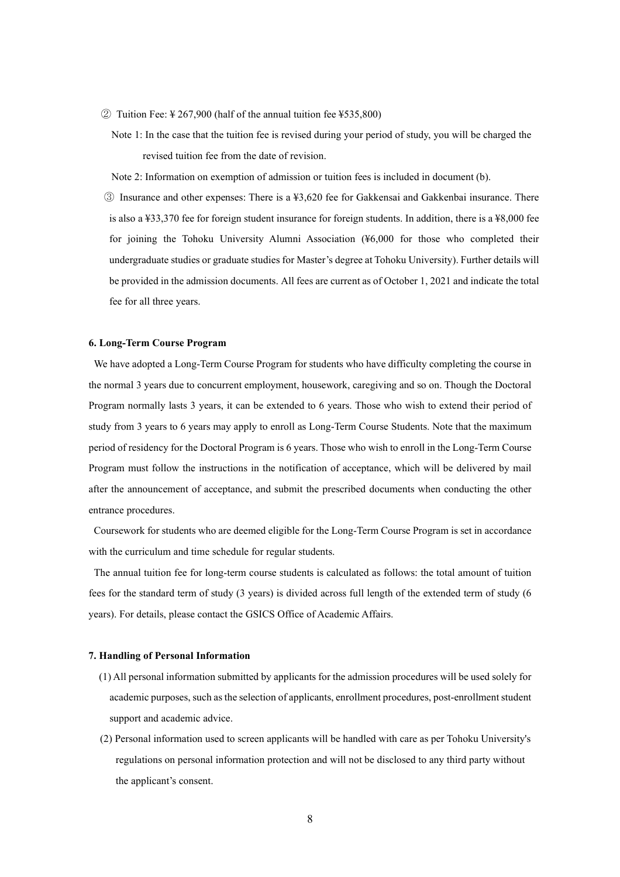- ② Tuition Fee: ¥ 267,900 (half of the annual tuition fee ¥535,800)
	- Note 1: In the case that the tuition fee is revised during your period of study, you will be charged the revised tuition fee from the date of revision.

Note 2: Information on exemption of admission or tuition fees is included in document (b).

③ Insurance and other expenses: There is a ¥3,620 fee for Gakkensai and Gakkenbai insurance. There is also a ¥33,370 fee for foreign student insurance for foreign students. In addition, there is a ¥8,000 fee for joining the Tohoku University Alumni Association (¥6,000 for those who completed their undergraduate studies or graduate studies for Master's degree at Tohoku University). Further details will be provided in the admission documents. All fees are current as of October 1, 2021 and indicate the total fee for all three years.

#### **6. Long-Term Course Program**

We have adopted a Long-Term Course Program for students who have difficulty completing the course in the normal 3 years due to concurrent employment, housework, caregiving and so on. Though the Doctoral Program normally lasts 3 years, it can be extended to 6 years. Those who wish to extend their period of study from 3 years to 6 years may apply to enroll as Long-Term Course Students. Note that the maximum period of residency for the Doctoral Program is 6 years. Those who wish to enroll in the Long-Term Course Program must follow the instructions in the notification of acceptance, which will be delivered by mail after the announcement of acceptance, and submit the prescribed documents when conducting the other entrance procedures.

Coursework for students who are deemed eligible for the Long-Term Course Program is set in accordance with the curriculum and time schedule for regular students.

The annual tuition fee for long-term course students is calculated as follows: the total amount of tuition fees for the standard term of study (3 years) is divided across full length of the extended term of study (6 years). For details, please contact the GSICS Office of Academic Affairs.

#### **7. Handling of Personal Information**

- (1) All personal information submitted by applicants for the admission procedures will be used solely for academic purposes, such as the selection of applicants, enrollment procedures, post-enrollment student support and academic advice.
- (2) Personal information used to screen applicants will be handled with care as per Tohoku University's regulations on personal information protection and will not be disclosed to any third party without the applicant's consent.